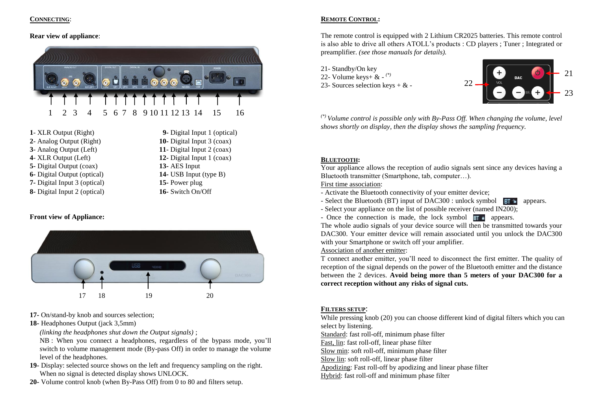#### **CONNECTING**:

#### **Rear view of appliance**:



- **1** XLR Output (Right) **9-** Digital Input 1 (optical) **2**- Analog Output (Right) **10-** Digital Input 3 (coax) **3**- Analog Output (Left) **11**- Digital Input 2 (coax) **4**- XLR Output (Left) **12-** Digital Input 1 (coax) **5**- Digital Output (coax) **13-** AES Input **5**- Digital Output (coax) **6-** Digital Output (optical) **14-** USB Input (type B) **7-** Digital Input 3 (optical) **15-** Power plug
- **8-** Digital Input 2 (optical) **16-** Switch On/Off

#### **Front view of Appliance:**



- **17-** On/stand-by knob and sources selection;
- **18-** Headphones Output (jack 3,5mm)

*(linking the headphones shut down the Output signals)* ;

NB : When you connect a headphones, regardless of the bypass mode, you'll switch to volume management mode (By-pass Off) in order to manage the volume level of the headphones.

- **19-** Display: selected source shows on the left and frequency sampling on the right. When no signal is detected display shows UNLOCK.
- **20-** Volume control knob (when By-Pass Off) from 0 to 80 and filters setup.

## **REMOTE CONTROL:**

The remote control is equipped with 2 Lithium CR2025 batteries. This remote control is also able to drive all others ATOLL's products : CD players ; Tuner ; Integrated or preamplifier. *(see those manuals for details).*

- 21- Standby/On key
- 22- Volume keys+ & *(\*)*
- 23- Sources selection keys  $+ \& -$



*(\*) Volume control is possible only with By-Pass Off. When changing the volume, level shows shortly on display, then the display shows the sampling frequency.* 

#### **BLUETOOTH:**

Your appliance allows the reception of audio signals sent since any devices having a Bluetooth transmitter (Smartphone, tab, computer…).

First time association:

- Activate the Bluetooth connectivity of your emitter device;
- Select the Bluetooth (BT) input of DAC300 : unlock symbol  $\overline{BT}$  appears.
- Select your appliance on the list of possible receiver (named IN200);
- Once the connection is made, the lock symbol  $BT \nightharpoonup$  appears.

The whole audio signals of your device source will then be transmitted towards your DAC300. Your emitter device will remain associated until you unlock the DAC300 with your Smartphone or switch off your amplifier.

## Association of another emitter:

T connect another emitter, you'll need to disconnect the first emitter. The quality of reception of the signal depends on the power of the Bluetooth emitter and the distance between the 2 devices. **Avoid being more than 5 meters of your DAC300 for a correct reception without any risks of signal cuts.**

#### **FILTERS SETUP**:

While pressing knob (20) you can choose different kind of digital filters which you can select by listening.

Standard: fast roll-off, minimum phase filter

Fast, lin: fast roll-off, linear phase filter

Slow min: soft roll-off, minimum phase filter

Slow lin: soft roll-off, linear phase filter

Apodizing: Fast roll-off by apodizing and linear phase filter

Hybrid: fast roll-off and minimum phase filter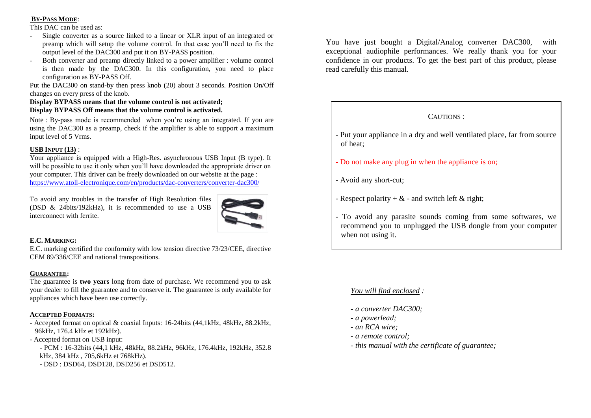## **BY-PASS MODE**:

This DAC can be used as:

- Single converter as a source linked to a linear or XLR input of an integrated or preamp which will setup the volume control. In that case you'll need to fix the output level of the DAC300 and put it on BY-PASS position.
- Both converter and preamp directly linked to a power amplifier : volume control is then made by the DAC300. In this configuration, you need to place configuration as BY-PASS Off.

Put the DAC300 on stand-by then press knob (20) about 3 seconds. Position On/Off changes on every press of the knob.

## **Display BYPASS means that the volume control is not activated; Display BYPASS Off means that the volume control is activated.**

Note : By-pass mode is recommended when you're using an integrated. If you are using the DAC300 as a preamp, check if the amplifier is able to support a maximum input level of 5 Vrms.

# **USB INPUT (13)** :

Your appliance is equipped with a High-Res. asynchronous USB Input (B type). It will be possible to use it only when you'll have downloaded the appropriate driver on your computer. This driver can be freely downloaded on our website at the page : <https://www.atoll-electronique.com/en/products/dac-converters/converter-dac300/>

To avoid any troubles in the transfer of High Resolution files (DSD & 24bits/192kHz), it is recommended to use a USB interconnect with ferrite.



## **E.C. MARKING:**

E.C. marking certified the conformity with low tension directive 73/23/CEE, directive CEM 89/336/CEE and national transpositions.

## **GUARANTEE:**

The guarantee is **two years** long from date of purchase. We recommend you to ask your dealer to fill the guarantee and to conserve it. The guarantee is only available for appliances which have been use correctly.

## **ACCEPTED FORMATS:**

- Accepted format on optical & coaxial Inputs: 16-24bits (44,1kHz, 48kHz, 88.2kHz, 96kHz, 176.4 kHz et 192kHz).

- Accepted format on USB input:

- PCM : 16-32bits (44,1 kHz, 48kHz, 88.2kHz, 96kHz, 176.4kHz, 192kHz, 352.8 kHz, 384 kHz , 705,6kHz et 768kHz).

- DSD : DSD64, DSD128, DSD256 et DSD512.

You have just bought a Digital/Analog converter DAC300, with exceptional audiophile performances. We really thank you for your confidence in our products. To get the best part of this product, please read carefully this manual.

# CAUTIONS :

- Put your appliance in a dry and well ventilated place, far from source of heat;
- Do not make any plug in when the appliance is on;
- Avoid any short-cut;
- Respect polarity  $+\&$  and switch left  $\&$  right;
- To avoid any parasite sounds coming from some softwares, we recommend you to unplugged the USB dongle from your computer when not using it.

# *You will find enclosed :*

- *- a converter DAC300;*
- *- a powerlead;*
- *- an RCA wire;*
- *- a remote control;*
- *- this manual with the certificate of guarantee;*